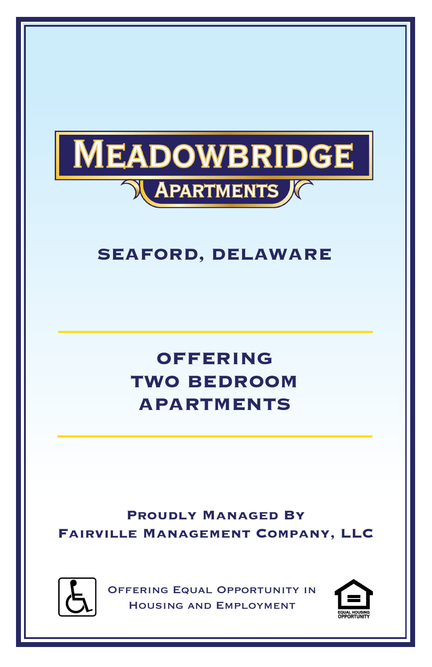

## **SEAFORD, DELAWARE**

# **OFFERING TWO BEDROOM APARTMENTS**

**Proudly Managed By Fairville Management Company, LLC**



Offering Equal Opportunity in Housing and Employment

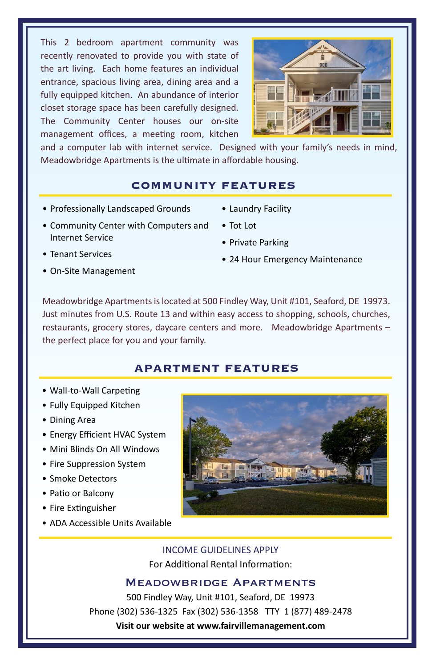This 2 bedroom apartment community was recently renovated to provide you with state of the art living. Each home features an individual entrance, spacious living area, dining area and a fully equipped kitchen. An abundance of interior closet storage space has been carefully designed. The Community Center houses our on-site management offices, a meeting room, kitchen



and a computer lab with internet service. Designed with your family's needs in mind, Meadowbridge Apartments is the ultimate in affordable housing.

#### **COMMUNITY FEATURES**

- Professionally Landscaped Grounds
- Laundry Facility
- Community Center with Computers and Internet Service
- Tot Lot
- Private Parking

- Tenant Services
- On-Site Management

• 24 Hour Emergency Maintenance

Meadowbridge Apartments is located at 500 Findley Way, Unit #101, Seaford, DE 19973. Just minutes from U.S. Route 13 and within easy access to shopping, schools, churches, restaurants, grocery stores, daycare centers and more. Meadowbridge Apartments – the perfect place for you and your family.

#### **APARTMENT FEATURES**

- Wall-to-Wall Carpeting
- Fully Equipped Kitchen
- Dining Area
- Energy Efficient HVAC System
- Mini Blinds On All Windows
- Fire Suppression System
- Smoke Detectors
- Patio or Balcony
- Fire Extinguisher
- ADA Accessible Units Available



INCOME GUIDELINES APPLY For Additional Rental Information:

### Meadowbridge Apartments

500 Findley Way, Unit #101, Seaford, DE 19973 Phone (302) 536-1325 Fax (302) 536-1358 TTY 1 (877) 489-2478 **Visit our website at www.fairvillemanagement.com**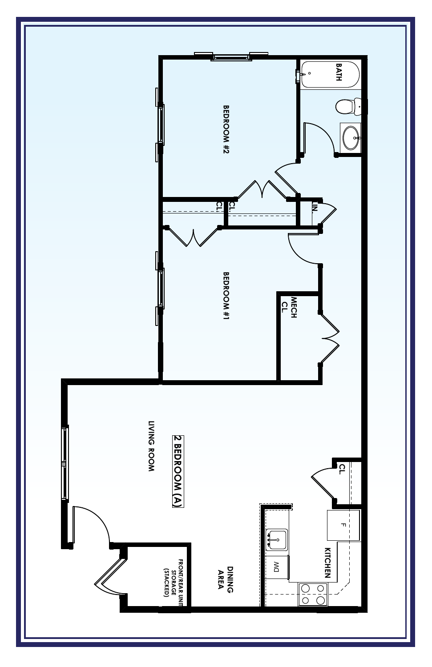